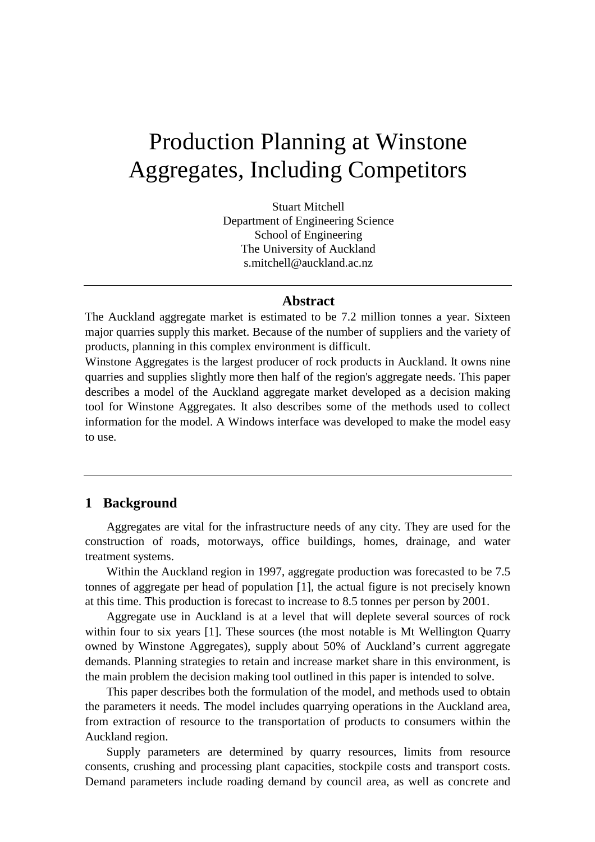# Production Planning at Winstone Aggregates, Including Competitors

Stuart Mitchell Department of Engineering Science School of Engineering The University of Auckland s.mitchell@auckland.ac.nz

## **Abstract**

The Auckland aggregate market is estimated to be 7.2 million tonnes a year. Sixteen major quarries supply this market. Because of the number of suppliers and the variety of products, planning in this complex environment is difficult.

Winstone Aggregates is the largest producer of rock products in Auckland. It owns nine quarries and supplies slightly more then half of the region's aggregate needs. This paper describes a model of the Auckland aggregate market developed as a decision making tool for Winstone Aggregates. It also describes some of the methods used to collect information for the model. A Windows interface was developed to make the model easy to use.

#### **1 Background**

Aggregates are vital for the infrastructure needs of any city. They are used for the construction of roads, motorways, office buildings, homes, drainage, and water treatment systems.

Within the Auckland region in 1997, aggregate production was forecasted to be 7.5 tonnes of aggregate per head of population [1], the actual figure is not precisely known at this time. This production is forecast to increase to 8.5 tonnes per person by 2001.

Aggregate use in Auckland is at a level that will deplete several sources of rock within four to six years [1]. These sources (the most notable is Mt Wellington Quarry owned by Winstone Aggregates), supply about 50% of Auckland's current aggregate demands. Planning strategies to retain and increase market share in this environment, is the main problem the decision making tool outlined in this paper is intended to solve.

This paper describes both the formulation of the model, and methods used to obtain the parameters it needs. The model includes quarrying operations in the Auckland area, from extraction of resource to the transportation of products to consumers within the Auckland region.

Supply parameters are determined by quarry resources, limits from resource consents, crushing and processing plant capacities, stockpile costs and transport costs. Demand parameters include roading demand by council area, as well as concrete and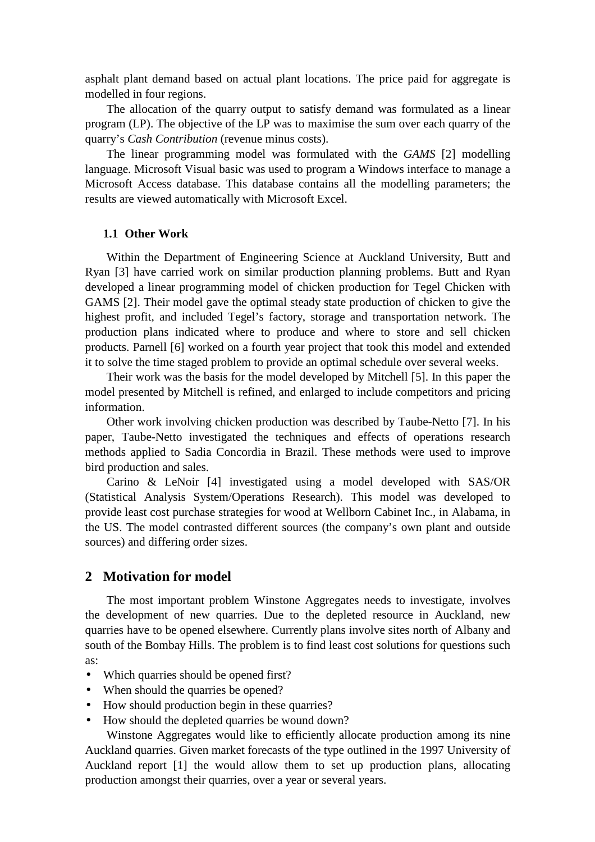asphalt plant demand based on actual plant locations. The price paid for aggregate is modelled in four regions.

The allocation of the quarry output to satisfy demand was formulated as a linear program (LP). The objective of the LP was to maximise the sum over each quarry of the quarry's *Cash Contribution* (revenue minus costs).

The linear programming model was formulated with the *GAMS* [2] modelling language. Microsoft Visual basic was used to program a Windows interface to manage a Microsoft Access database. This database contains all the modelling parameters; the results are viewed automatically with Microsoft Excel.

#### **1.1 Other Work**

Within the Department of Engineering Science at Auckland University, Butt and Ryan [3] have carried work on similar production planning problems. Butt and Ryan developed a linear programming model of chicken production for Tegel Chicken with GAMS [2]. Their model gave the optimal steady state production of chicken to give the highest profit, and included Tegel's factory, storage and transportation network. The production plans indicated where to produce and where to store and sell chicken products. Parnell [6] worked on a fourth year project that took this model and extended it to solve the time staged problem to provide an optimal schedule over several weeks.

Their work was the basis for the model developed by Mitchell [5]. In this paper the model presented by Mitchell is refined, and enlarged to include competitors and pricing information.

Other work involving chicken production was described by Taube-Netto [7]. In his paper, Taube-Netto investigated the techniques and effects of operations research methods applied to Sadia Concordia in Brazil. These methods were used to improve bird production and sales.

Carino & LeNoir [4] investigated using a model developed with SAS/OR (Statistical Analysis System/Operations Research). This model was developed to provide least cost purchase strategies for wood at Wellborn Cabinet Inc., in Alabama, in the US. The model contrasted different sources (the company's own plant and outside sources) and differing order sizes.

## **2 Motivation for model**

The most important problem Winstone Aggregates needs to investigate, involves the development of new quarries. Due to the depleted resource in Auckland, new quarries have to be opened elsewhere. Currently plans involve sites north of Albany and south of the Bombay Hills. The problem is to find least cost solutions for questions such as:

- Which quarries should be opened first?
- When should the quarries be opened?
- How should production begin in these quarries?
- How should the depleted quarries be wound down?

Winstone Aggregates would like to efficiently allocate production among its nine Auckland quarries. Given market forecasts of the type outlined in the 1997 University of Auckland report [1] the would allow them to set up production plans, allocating production amongst their quarries, over a year or several years.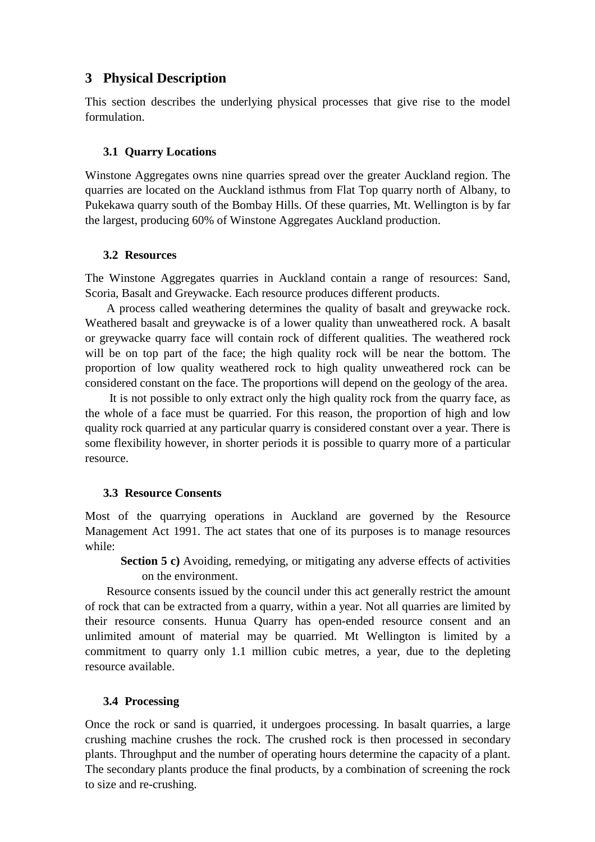# **3 Physical Description**

This section describes the underlying physical processes that give rise to the model formulation.

## **3.1 Quarry Locations**

Winstone Aggregates owns nine quarries spread over the greater Auckland region. The quarries are located on the Auckland isthmus from Flat Top quarry north of Albany, to Pukekawa quarry south of the Bombay Hills. Of these quarries, Mt. Wellington is by far the largest, producing 60% of Winstone Aggregates Auckland production.

## **3.2 Resources**

The Winstone Aggregates quarries in Auckland contain a range of resources: Sand, Scoria, Basalt and Greywacke. Each resource produces different products.

A process called weathering determines the quality of basalt and greywacke rock. Weathered basalt and greywacke is of a lower quality than unweathered rock. A basalt or greywacke quarry face will contain rock of different qualities. The weathered rock will be on top part of the face; the high quality rock will be near the bottom. The proportion of low quality weathered rock to high quality unweathered rock can be considered constant on the face. The proportions will depend on the geology of the area.

It is not possible to only extract only the high quality rock from the quarry face, as the whole of a face must be quarried. For this reason, the proportion of high and low quality rock quarried at any particular quarry is considered constant over a year. There is some flexibility however, in shorter periods it is possible to quarry more of a particular resource.

## **3.3 Resource Consents**

Most of the quarrying operations in Auckland are governed by the Resource Management Act 1991. The act states that one of its purposes is to manage resources while:

**Section 5 c)** Avoiding, remedying, or mitigating any adverse effects of activities on the environment.

Resource consents issued by the council under this act generally restrict the amount of rock that can be extracted from a quarry, within a year. Not all quarries are limited by their resource consents. Hunua Quarry has open-ended resource consent and an unlimited amount of material may be quarried. Mt Wellington is limited by a commitment to quarry only 1.1 million cubic metres, a year, due to the depleting resource available.

## **3.4 Processing**

Once the rock or sand is quarried, it undergoes processing. In basalt quarries, a large crushing machine crushes the rock. The crushed rock is then processed in secondary plants. Throughput and the number of operating hours determine the capacity of a plant. The secondary plants produce the final products, by a combination of screening the rock to size and re-crushing.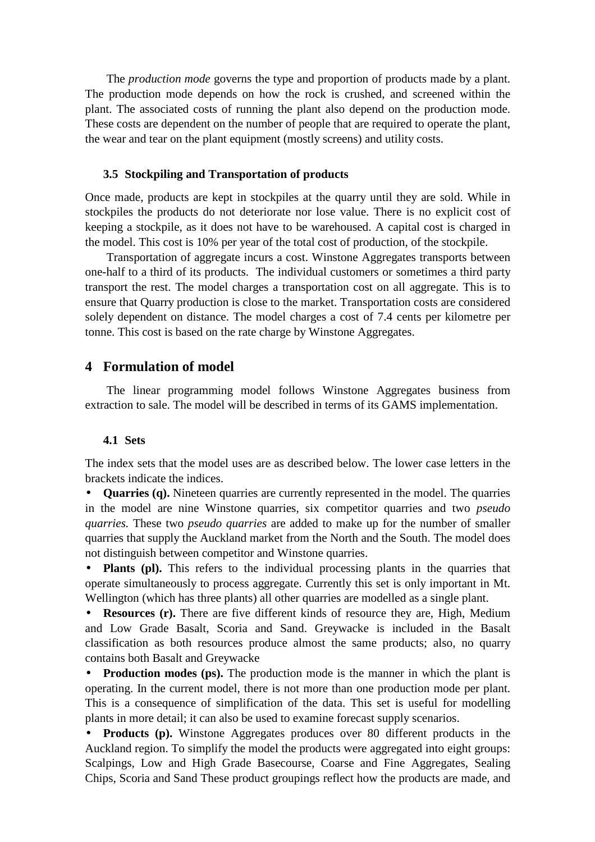The *production mode* governs the type and proportion of products made by a plant. The production mode depends on how the rock is crushed, and screened within the plant. The associated costs of running the plant also depend on the production mode. These costs are dependent on the number of people that are required to operate the plant, the wear and tear on the plant equipment (mostly screens) and utility costs.

#### **3.5 Stockpiling and Transportation of products**

Once made, products are kept in stockpiles at the quarry until they are sold. While in stockpiles the products do not deteriorate nor lose value. There is no explicit cost of keeping a stockpile, as it does not have to be warehoused. A capital cost is charged in the model. This cost is 10% per year of the total cost of production, of the stockpile.

Transportation of aggregate incurs a cost. Winstone Aggregates transports between one-half to a third of its products. The individual customers or sometimes a third party transport the rest. The model charges a transportation cost on all aggregate. This is to ensure that Quarry production is close to the market. Transportation costs are considered solely dependent on distance. The model charges a cost of 7.4 cents per kilometre per tonne. This cost is based on the rate charge by Winstone Aggregates.

## **4 Formulation of model**

The linear programming model follows Winstone Aggregates business from extraction to sale. The model will be described in terms of its GAMS implementation.

#### **4.1 Sets**

The index sets that the model uses are as described below. The lower case letters in the brackets indicate the indices.

• **Quarries (q).** Nineteen quarries are currently represented in the model. The quarries in the model are nine Winstone quarries, six competitor quarries and two *pseudo quarries.* These two *pseudo quarries* are added to make up for the number of smaller quarries that supply the Auckland market from the North and the South. The model does not distinguish between competitor and Winstone quarries.

• **Plants (pl).** This refers to the individual processing plants in the quarries that operate simultaneously to process aggregate. Currently this set is only important in Mt. Wellington (which has three plants) all other quarries are modelled as a single plant.

• **Resources (r).** There are five different kinds of resource they are, High, Medium and Low Grade Basalt, Scoria and Sand. Greywacke is included in the Basalt classification as both resources produce almost the same products; also, no quarry contains both Basalt and Greywacke

• **Production modes (ps).** The production mode is the manner in which the plant is operating. In the current model, there is not more than one production mode per plant. This is a consequence of simplification of the data. This set is useful for modelling plants in more detail; it can also be used to examine forecast supply scenarios.

• **Products (p).** Winstone Aggregates produces over 80 different products in the Auckland region. To simplify the model the products were aggregated into eight groups: Scalpings, Low and High Grade Basecourse, Coarse and Fine Aggregates, Sealing Chips, Scoria and Sand These product groupings reflect how the products are made, and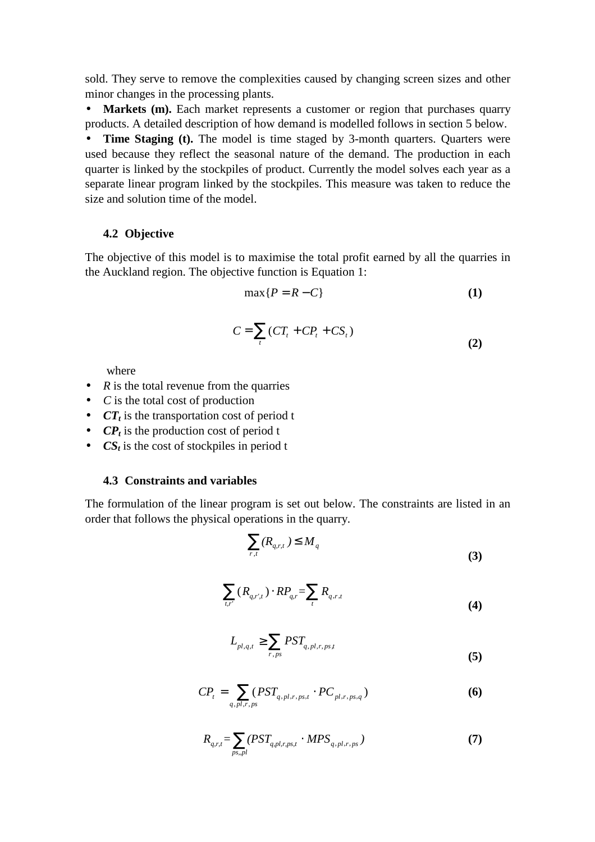sold. They serve to remove the complexities caused by changing screen sizes and other minor changes in the processing plants.

• Markets (m). Each market represents a customer or region that purchases quarry products. A detailed description of how demand is modelled follows in section 5 below.

• **Time Staging (t).** The model is time staged by 3-month quarters. Quarters were used because they reflect the seasonal nature of the demand. The production in each quarter is linked by the stockpiles of product. Currently the model solves each year as a separate linear program linked by the stockpiles. This measure was taken to reduce the size and solution time of the model.

## **4.2 Objective**

The objective of this model is to maximise the total profit earned by all the quarries in the Auckland region. The objective function is Equation 1:

$$
\max\{P = R - C\} \tag{1}
$$

$$
C = \sum_{t} (CT_t + CP_t + CS_t)
$$
\n(2)

where

- *R* is the total revenue from the quarries
- *C* is the total cost of production
- *CT<sub>t</sub>* is the transportation cost of period t
- *CP<sub>t</sub>* is the production cost of period t
- $CS_t$  is the cost of stockpiles in period t

#### **4.3 Constraints and variables**

The formulation of the linear program is set out below. The constraints are listed in an order that follows the physical operations in the quarry.

$$
\sum_{r,t} (R_{q,r,t}) \le M_q \tag{3}
$$

$$
\sum_{t,r'} (R_{q,r',t}) \cdot RP_{q,r} = \sum_{t} R_{q,r,t} \tag{4}
$$

$$
L_{pl,q,t} \ge \sum_{r,ps} PST_{q,pl,r,ps,t} \tag{5}
$$

$$
CP_{t} = \sum_{q,pl,r,ps} (PST_{q,pl,r,ps,t} \cdot PC_{pl,r,ps,q})
$$
 (6)

$$
R_{q,r,t} = \sum_{ps,pl} (PST_{q,pl,r,ps,t} \cdot MPS_{q,pl,r,ps}) \tag{7}
$$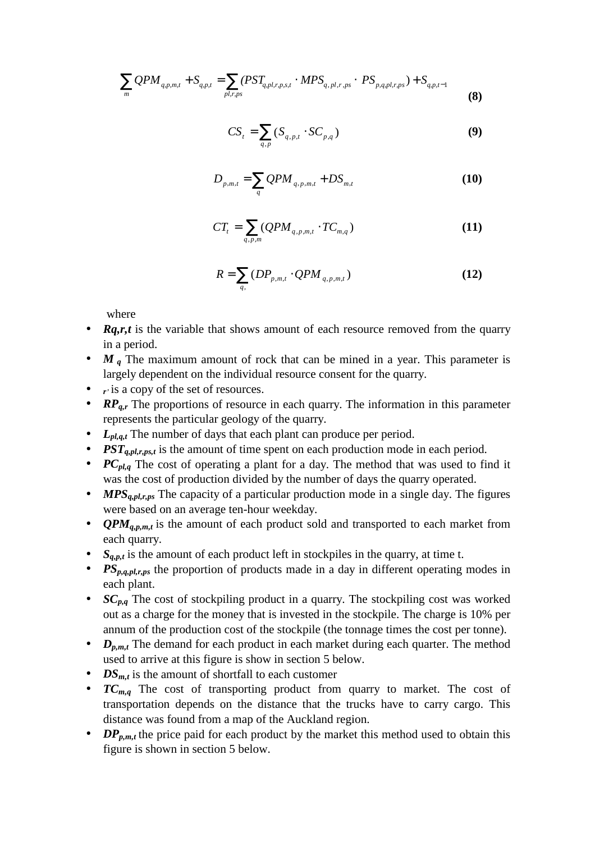$$
\sum_{m} QPM_{q,p,m,t} + S_{q,p,t} = \sum_{p,l,r,p,s} (PST_{q,p,l,r,p,s,t} \cdot MPS_{q,p,l,r,p,s} \cdot PS_{p,q,p,l,r,p,s}) + S_{q,p,t-1}
$$
(8)

$$
CS_t = \sum_{q,p} (S_{q,p,t} \cdot SC_{p,q})
$$
\n(9)

$$
D_{p,m,t} = \sum_{q} QPM_{q,p,m,t} + DS_{m,t}
$$
 (10)

$$
CT_{t} = \sum_{q,p,m} (QPM_{q,p,m,t} \cdot TC_{m,q})
$$
\n(11)

$$
R = \sum_{q,} \left( DP_{p,m,t} \cdot QPM_{q,p,m,t} \right) \tag{12}
$$

where

- *Rq,r,t* is the variable that shows amount of each resource removed from the quarry in a period.
- *M <sup>q</sup>* The maximum amount of rock that can be mined in a year. This parameter is largely dependent on the individual resource consent for the quarry.
- *r*<sup> $\cdot$ </sup> is a copy of the set of resources.
- *RP<sub>q,r</sub>* The proportions of resource in each quarry. The information in this parameter represents the particular geology of the quarry.
- *L<sub>pl,a,t</sub>* The number of days that each plant can produce per period.
- *PST<sub>q,pl,r,ps,t* is the amount of time spent on each production mode in each period.</sub>
- *PC<sub>pl,q</sub>* The cost of operating a plant for a day. The method that was used to find it was the cost of production divided by the number of days the quarry operated.
- *MPS<sub>q,pl,r,ps</sub>* The capacity of a particular production mode in a single day. The figures were based on an average ten-hour weekday.
- *QPM<sub>a,p,m,t</sub>* is the amount of each product sold and transported to each market from each quarry.
- $S_{q,p,t}$  is the amount of each product left in stockpiles in the quarry, at time t.
- *PSp,q,pl,r,ps* the proportion of products made in a day in different operating modes in each plant.
- *SC<sub>p,q</sub>* The cost of stockpiling product in a quarry. The stockpiling cost was worked out as a charge for the money that is invested in the stockpile. The charge is 10% per annum of the production cost of the stockpile (the tonnage times the cost per tonne).
- *D<sub>p,m,t</sub>* The demand for each product in each market during each quarter. The method used to arrive at this figure is show in section 5 below.
- $DS<sub>m,t</sub>$  is the amount of shortfall to each customer
- $TC_{m,q}$  The cost of transporting product from quarry to market. The cost of transportation depends on the distance that the trucks have to carry cargo. This distance was found from a map of the Auckland region.
- *DP*<sub>*p,m,t*</sub> the price paid for each product by the market this method used to obtain this figure is shown in section 5 below.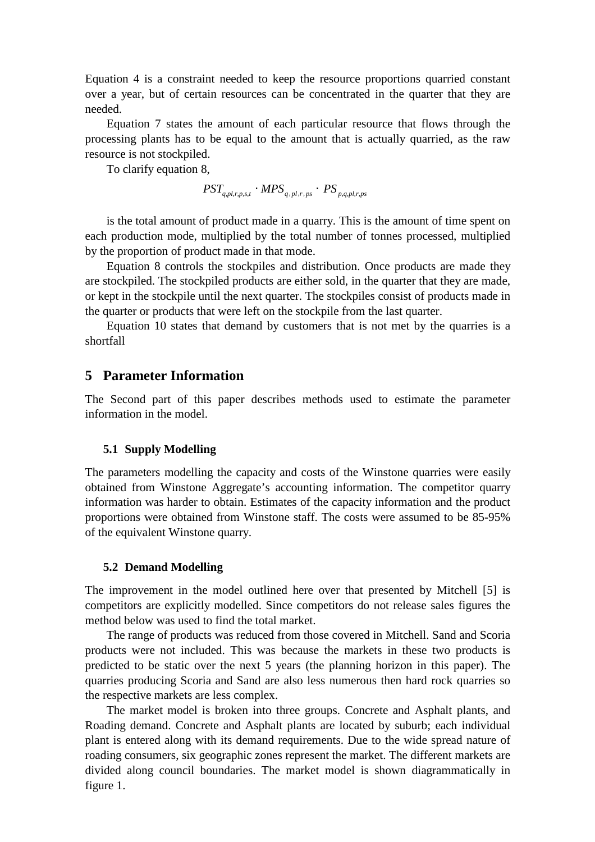Equation 4 is a constraint needed to keep the resource proportions quarried constant over a year, but of certain resources can be concentrated in the quarter that they are needed.

Equation 7 states the amount of each particular resource that flows through the processing plants has to be equal to the amount that is actually quarried, as the raw resource is not stockpiled.

To clarify equation 8,

 $PST_{q,pl,r,p,s,t} \cdot MPS_{q,pl,r,ps} \cdot PS_{p,q,pl,r,ps}$ 

is the total amount of product made in a quarry. This is the amount of time spent on each production mode, multiplied by the total number of tonnes processed, multiplied by the proportion of product made in that mode.

Equation 8 controls the stockpiles and distribution. Once products are made they are stockpiled. The stockpiled products are either sold, in the quarter that they are made, or kept in the stockpile until the next quarter. The stockpiles consist of products made in the quarter or products that were left on the stockpile from the last quarter.

Equation 10 states that demand by customers that is not met by the quarries is a shortfall

### **5 Parameter Information**

The Second part of this paper describes methods used to estimate the parameter information in the model.

#### **5.1 Supply Modelling**

The parameters modelling the capacity and costs of the Winstone quarries were easily obtained from Winstone Aggregate's accounting information. The competitor quarry information was harder to obtain. Estimates of the capacity information and the product proportions were obtained from Winstone staff. The costs were assumed to be 85-95% of the equivalent Winstone quarry.

#### **5.2 Demand Modelling**

The improvement in the model outlined here over that presented by Mitchell [5] is competitors are explicitly modelled. Since competitors do not release sales figures the method below was used to find the total market.

The range of products was reduced from those covered in Mitchell. Sand and Scoria products were not included. This was because the markets in these two products is predicted to be static over the next 5 years (the planning horizon in this paper). The quarries producing Scoria and Sand are also less numerous then hard rock quarries so the respective markets are less complex.

The market model is broken into three groups. Concrete and Asphalt plants, and Roading demand. Concrete and Asphalt plants are located by suburb; each individual plant is entered along with its demand requirements. Due to the wide spread nature of roading consumers, six geographic zones represent the market. The different markets are divided along council boundaries. The market model is shown diagrammatically in figure 1.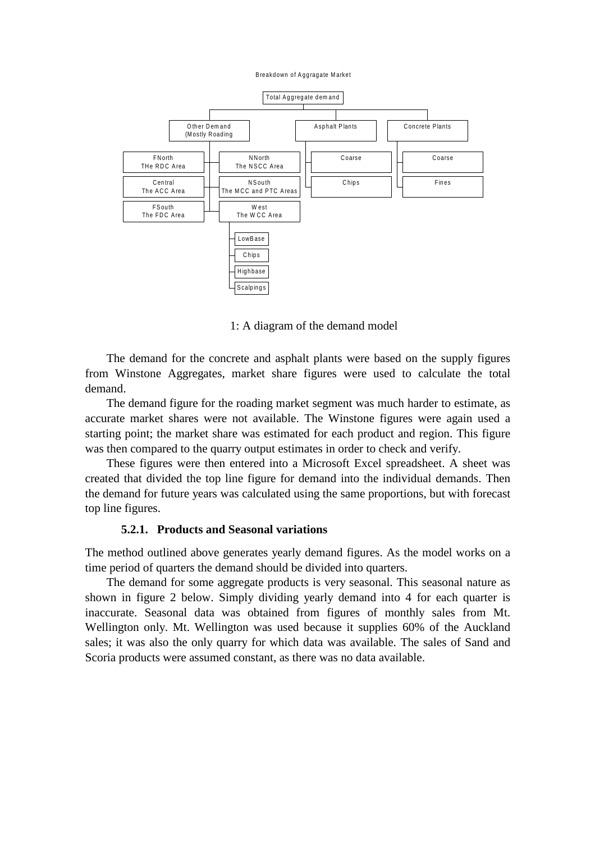Breakdown of Aggragate Market



1: A diagram of the demand model

The demand for the concrete and asphalt plants were based on the supply figures from Winstone Aggregates, market share figures were used to calculate the total demand.

The demand figure for the roading market segment was much harder to estimate, as accurate market shares were not available. The Winstone figures were again used a starting point; the market share was estimated for each product and region. This figure was then compared to the quarry output estimates in order to check and verify.

These figures were then entered into a Microsoft Excel spreadsheet. A sheet was created that divided the top line figure for demand into the individual demands. Then the demand for future years was calculated using the same proportions, but with forecast top line figures.

#### **5.2.1. Products and Seasonal variations**

The method outlined above generates yearly demand figures. As the model works on a time period of quarters the demand should be divided into quarters.

The demand for some aggregate products is very seasonal. This seasonal nature as shown in figure 2 below. Simply dividing yearly demand into 4 for each quarter is inaccurate. Seasonal data was obtained from figures of monthly sales from Mt. Wellington only. Mt. Wellington was used because it supplies 60% of the Auckland sales; it was also the only quarry for which data was available. The sales of Sand and Scoria products were assumed constant, as there was no data available.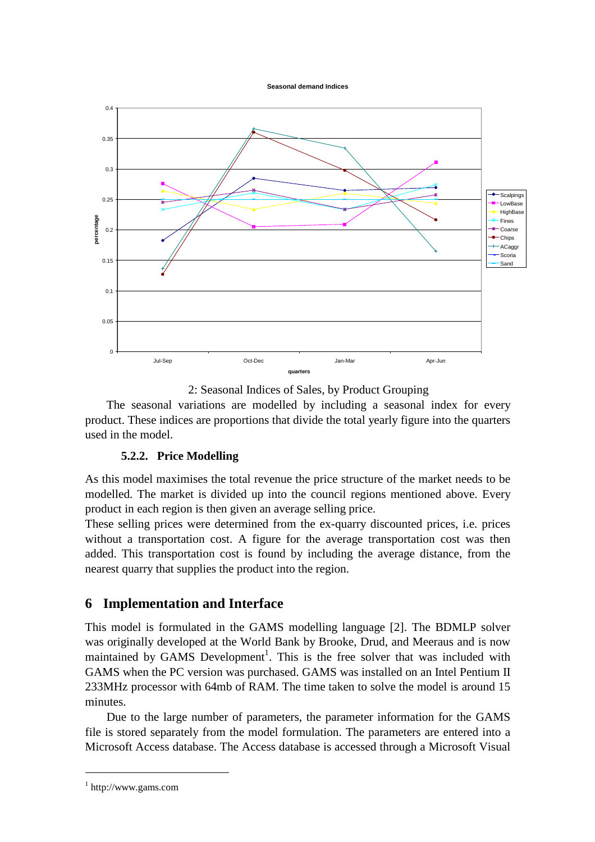**Seasonal demand Indices** 



2: Seasonal Indices of Sales, by Product Grouping

The seasonal variations are modelled by including a seasonal index for every product. These indices are proportions that divide the total yearly figure into the quarters used in the model.

## **5.2.2. Price Modelling**

As this model maximises the total revenue the price structure of the market needs to be modelled. The market is divided up into the council regions mentioned above. Every product in each region is then given an average selling price.

These selling prices were determined from the ex-quarry discounted prices, i.e. prices without a transportation cost. A figure for the average transportation cost was then added. This transportation cost is found by including the average distance, from the nearest quarry that supplies the product into the region.

# **6 Implementation and Interface**

This model is formulated in the GAMS modelling language [2]. The BDMLP solver was originally developed at the World Bank by Brooke, Drud, and Meeraus and is now maintained by GAMS Development<sup>1</sup>. This is the free solver that was included with GAMS when the PC version was purchased. GAMS was installed on an Intel Pentium II 233MHz processor with 64mb of RAM. The time taken to solve the model is around 15 minutes.

Due to the large number of parameters, the parameter information for the GAMS file is stored separately from the model formulation. The parameters are entered into a Microsoft Access database. The Access database is accessed through a Microsoft Visual

 $\overline{a}$ 

<sup>1</sup> http://www.gams.com